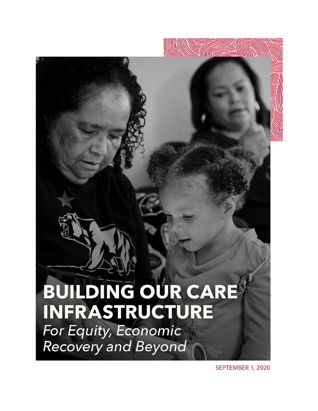# **BUILDING OUR CARE INFRASTRUCTURE** For Equity, Economic Recovery and Beyond

SEPTEMBER 1, 2020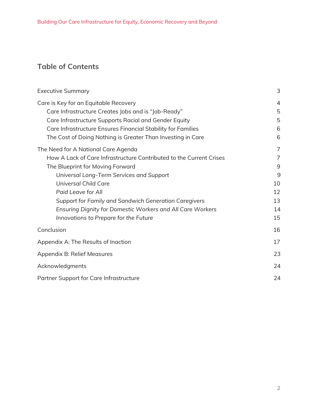# **Table of Contents**

| <b>Executive Summary</b>                                            | 3  |
|---------------------------------------------------------------------|----|
| Care is Key for an Equitable Recovery                               | 4  |
| Care Infrastructure Creates Jobs and is "Job-Ready"                 | 5  |
| Care Infrastructure Supports Racial and Gender Equity               | 5  |
| Care Infrastructure Ensures Financial Stability for Families        | 6  |
| The Cost of Doing Nothing is Greater Than Investing in Care         | 6  |
| The Need for A National Care Agenda                                 | 7  |
| How A Lack of Care Infrastructure Contributed to the Current Crises | 7  |
| The Blueprint for Moving Forward                                    | 9  |
| Universal Long-Term Services and Support                            | 9  |
| Universal Child Care                                                | 10 |
| Paid Leave for All                                                  | 12 |
| Support for Family and Sandwich Generation Caregivers               | 13 |
| Ensuring Dignity for Domestic Workers and All Care Workers          | 14 |
| Innovations to Prepare for the Future                               | 15 |
| Conclusion                                                          | 16 |
| Appendix A: The Results of Inaction                                 | 17 |
| Appendix B: Relief Measures                                         | 23 |
| Acknowledgments                                                     | 24 |
| Partner Support for Care Infrastructure                             | 24 |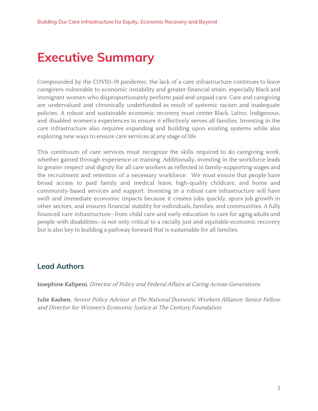# <span id="page-2-0"></span>**Executive Summary**

Compounded by the COVID-19 pandemic, the lack of a care infrastructure continues to leave caregivers vulnerable to economic instability and greater financial strain, especially Black and immigrant women who disproportionately perform paid and unpaid care. Care and caregiving are undervalued and chronically underfunded as result of systemic racism and inadequate policies. A robust and sustainable economic recovery must center Black, Latinx, Indigenous, and disabled women's experiences to ensure it effectively serves all families. Investing in the care infrastructure also requires expanding and building upon existing systems while also exploring new ways to ensure care services at any stage of life.

This continuum of care services must recognize the skills required to do caregiving work, whether gained through experience or training. Additionally, investing in the workforce leads to greater respect and dignity for all care workers as reflected in family-supporting wages and the recruitment and retention of a necessary workforce. We must ensure that people have broad access to paid family and medical leave, high-quality childcare, and home and community-based services and support. Investing in a robust care infrastructure will have swift and immediate economic impacts because it creates jobs quickly, spurs job growth in other sectors, and ensures financial stability for individuals, families, and communities. A fully financed care infrastructure—from child care and early education to care for aging adults and people with disabilities—is not only critical to a racially just and equitable economic recovery but is also key to building a pathway forward that is sustainable for all families.

## **Lead Authors**

**Josephine Kalipeni**, Director of Policy and Federal Affairs at Caring Across Generations

**Julie Kashen**, Senior Policy Advisor at The National Domestic Workers Alliance; Senior Fellow and Director for Women's Economic Justice at The Century Foundation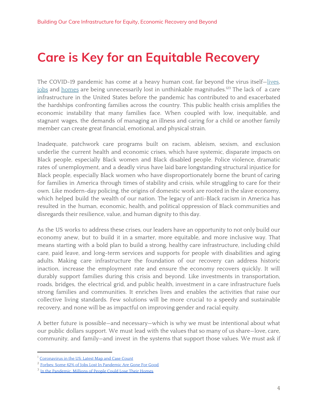# <span id="page-3-0"></span>**Care is Key for an Equitable Recovery**

The COVID-19 pandemic has come at a heavy human cost, far beyond the virus itself-lives, j<u>obs</u> and <u>[homes](https://www.hrw.org/news/2020/05/11/pandemic-millions-people-could-lose-their-homes)</u> are being unnecessarily lost in unthinkable magnitudes.<sup>123</sup> The lack of a care infrastructure in the United States before the pandemic has contributed to and exacerbated the hardships confronting families across the country. This public health crisis amplifies the economic instability that many families face. When coupled with low, inequitable, and stagnant wages, the demands of managing an illness and caring for a child or another family member can create great financial, emotional, and physical strain.

Inadequate, patchwork care programs built on racism, ableism, sexism, and exclusion underlie the current health and economic crises, which have systemic, disparate impacts on Black people, especially Black women and Black disabled people. Police violence, dramatic rates of unemployment, and a deadly virus have laid bare longstanding structural injustice for Black people, especially Black women who have disproportionately borne the brunt of caring for families in America through times of stability and crisis, while struggling to care for their own. Like modern-day policing, the origins of domestic work are rooted in the slave economy, which helped build the wealth of our nation. The legacy of anti-Black racism in America has resulted in the human, economic, health, and political oppression of Black communities and disregards their resilience, value, and human dignity to this day.

As the US works to address these crises, our leaders have an opportunity to not only build our economy anew, but to build it in a smarter, more equitable, and more inclusive way. That means starting with a bold plan to build a strong, healthy care infrastructure, including child care, paid leave, and long-term services and supports for people with disabilities and aging adults. Making care infrastructure the foundation of our recovery can address historic inaction, increase the employment rate and ensure the economy recovers quickly. It will durably support families during this crisis and beyond. Like investments in transportation, roads, bridges, the electrical grid, and public health, investment in a care infrastructure fuels strong families and communities. It enriches lives and enables the activities that raise our collective living standards. Few solutions will be more crucial to a speedy and sustainable recovery, and none will be as impactful on improving gender and racial equity.

A better future is possible—and necessary—which is why we must be intentional about what our public dollars support. We must lead with the values that so many of us share—love, care, community, and family—and invest in the systems that support those values. We must ask if

<sup>&</sup>lt;sup>1</sup> [Coronavirus](https://www.nytimes.com/interactive/2020/us/coronavirus-us-cases.html) in the US: Latest Map and Case Count

<sup>&</sup>lt;sup>2</sup> Forbes: Some 42% of Jobs Lost In [Pandemic](https://www.forbes.com/sites/kenrapoza/2020/05/15/some-42-of-jobs-lost-in-pandemic-are-gone-for-good/#7041e7650ab9) Are Gone For Good

<sup>&</sup>lt;sup>3</sup> In the Pandemic. Millions of People Could Lose Their Homes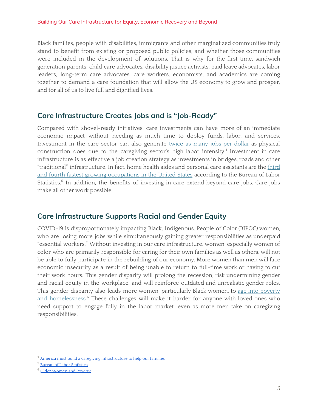Black families, people with disabilities, immigrants and other marginalized communities truly stand to benefit from existing or proposed public policies, and whether those communities were included in the development of solutions. That is why for the first time, sandwich generation parents, child care advocates, disability justice activists, paid leave advocates, labor leaders, long-term care advocates, care workers, economists, and academics are coming together to demand a care foundation that will allow the US economy to grow and prosper, and for all of us to live full and dignified lives.

### <span id="page-4-0"></span>**Care Infrastructure Creates Jobs and is "Job-Ready"**

Compared with shovel-ready initiatives, care investments can have more of an immediate economic impact without needing as much time to deploy funds, labor, and services. Investment in the care sector can also generate twice as many jobs per [dollar](https://thehill.com/opinion/finance/372966-america-must-build-a-caregiving-infrastructure-to-help-our-families) as physical construction does due to the caregiving sector's high labor intensity.<sup>4</sup> Investment in care infrastructure is as effective a job creation strategy as investments in bridges, roads and other "traditional" infrastructure. In fact, home health aides and personal care assistants are the [third](https://www.bls.gov/ooh/fastest-growing.htm) and fourth fastest growing [occupations](https://www.bls.gov/ooh/fastest-growing.htm) in the United States according to the Bureau of Labor Statistics.<sup>5</sup> In addition, the benefits of investing in care extend beyond care jobs. Care jobs make all other work possible.

## <span id="page-4-1"></span>**Care Infrastructure Supports Racial and Gender Equity**

COVID-19 is disproportionately impacting Black, Indigenous, People of Color (BIPOC) women, who are losing more jobs while simultaneously gaining greater responsibilities as underpaid "essential workers." Without investing in our care infrastructure, women, especially women of color who are primarily responsible for caring for their own families as well as others, will not be able to fully participate in the rebuilding of our economy. More women than men will face economic insecurity as a result of being unable to return to full-time work or having to cut their work hours. This gender disparity will prolong the recession, risk undermining gender and racial equity in the workplace, and will reinforce outdated and unrealistic gender roles. This gender disparity also leads more women, particularly Black women, to age into [poverty](https://www.justiceinaging.org/wp-content/uploads/2018/12/Older-Women-and-Poverty.pdf) and [homelessness.](https://www.justiceinaging.org/wp-content/uploads/2018/12/Older-Women-and-Poverty.pdf)<sup>6</sup> These challenges will make it harder for anyone with loved ones who need support to engage fully in the labor market, even as more men take on caregiving responsibilities.

 $^4$  America must build a caregiving [infrastructure](https://thehill.com/opinion/finance/372966-america-must-build-a-caregiving-infrastructure-to-help-our-families) to help our families

<sup>5</sup> Bureau of Labor [Statistics](https://www.bls.gov/ooh/fastest-growing.htm)

<sup>6</sup> Older [Women](https://www.justiceinaging.org/wp-content/uploads/2018/12/Older-Women-and-Poverty.pdf) and Poverty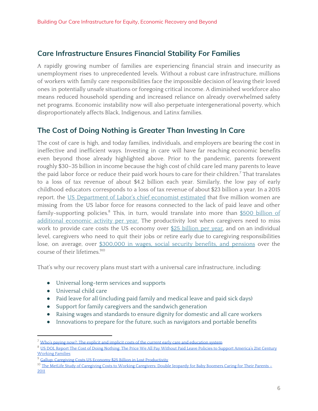### <span id="page-5-0"></span>**Care Infrastructure Ensures Financial Stability For Families**

A rapidly growing number of families are experiencing financial strain and insecurity as unemployment rises to unprecedented levels. Without a robust care infrastructure, millions of workers with family care responsibilities face the impossible decision of leaving their loved ones in potentially unsafe situations or foregoing critical income. A diminished workforce also means reduced household spending and increased reliance on already overwhelmed safety net programs. Economic instability now will also perpetuate intergenerational poverty, which disproportionately affects Black, Indigenous, and Latinx families.

### <span id="page-5-1"></span>**The Cost of Doing Nothing is Greater Than Investing In Care**

The cost of care is high, and today families, individuals, and employers are bearing the cost in ineffective and inefficient ways. Investing in care will have far reaching economic benefits even beyond those already highlighted above. Prior to the pandemic, parents forewent roughly \$30–35 billion in income because the high cost of child care led many parents to leave the paid labor force or reduce their paid work hours to care for their children.<sup>7</sup> That translates to a loss of tax revenue of about \$4.2 billion each year. Similarly, the low pay of early childhood educators corresponds to a loss of tax revenue of about \$23 billion a year. In a 2015 report, the US [Department](https://digitalcommons.ilr.cornell.edu/cgi/viewcontent.cgi?article=2609&context=key_workplace) of Labor's chief economist estimated that five million women are missing from the US labor force for reasons connected to the lack of paid leave and other family-supporting policies.<sup>8</sup> This, in turn, would translate into more than <u>\$500 [billion](https://digitalcommons.ilr.cornell.edu/cgi/viewcontent.cgi?article=2609&context=key_workplace) of</u> [additional](https://digitalcommons.ilr.cornell.edu/cgi/viewcontent.cgi?article=2609&context=key_workplace) economic activity per year. The productivity lost when caregivers need to miss work to provide care costs the US economy over \$25 [billion](https://news.gallup.com/poll/148670/caregiving-costs-economy-billion-lost-productivity.aspx#:~:text=Overall%2C%20caregivers%20reporting%20missing%20an,in%20lost%20productivity%20per%20year.) per year, and on an individual level, caregivers who need to quit their jobs or retire early due to caregiving responsibilities lose, on average, over [\\$300,000](https://www.aarp.org/content/dam/aarp/livable-communities/old-learn/health/metlife-study-of-caregiving-costs-to-working-caregivers-2011-aarp.pdf) in wages, social security benefits, and pensions over the course of their lifetimes. 910

That's why our recovery plans must start with a universal care infrastructure, including:

- Universal long-term services and supports
- Universal child care
- Paid leave for all (including paid family and medical leave and paid sick days)
- Support for family caregivers and the sandwich generation
- Raising wages and standards to ensure dignity for domestic and all care workers
- Innovations to prepare for the future, such as navigators and portable benefits

 $7$  Who's paying now?: The explicit and implicit costs of the current early care and [education](https://www.epi.org/publication/whos-paying-now-costs-of-the-current-ece-system/) system

<sup>&</sup>lt;sup>8</sup> US DOL Report The Cost of Doing Nothing: The Price We All Pay Without Paid Leave Policies to Support [America's](https://digitalcommons.ilr.cornell.edu/cgi/viewcontent.cgi?article=2609&context=key_workplace) 21st Century [Working](https://digitalcommons.ilr.cornell.edu/cgi/viewcontent.cgi?article=2609&context=key_workplace) Families

<sup>&</sup>lt;sup>9</sup> Gallup: Caregiving Costs US Economy \$25 Billion in Lost [Productivity](https://news.gallup.com/poll/148670/Caregiving-Costs-Economy-Billion-Lost-Productivity.aspx?utm_source)

<sup>&</sup>lt;sup>10</sup> The MetLife Study of Caregiving Costs to Working [Caregivers:](https://www.aarp.org/content/dam/aarp/livable-communities/old-learn/health/metlife-study-of-caregiving-costs-to-working-caregivers-2011-aarp.pdf) Double Jeopardy for Baby Boomers Caring for Their Parents – [2011](https://www.aarp.org/content/dam/aarp/livable-communities/old-learn/health/metlife-study-of-caregiving-costs-to-working-caregivers-2011-aarp.pdf)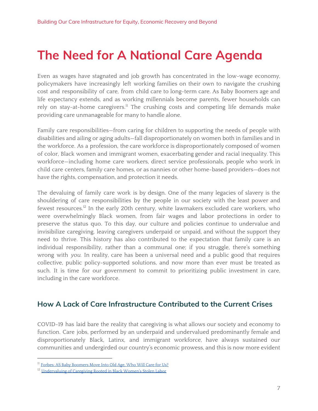# <span id="page-6-0"></span>**The Need for A National Care Agenda**

Even as wages have stagnated and job growth has concentrated in the low-wage economy, policymakers have increasingly left working families on their own to navigate the crushing cost and responsibility of care, from child care to long-term care. As Baby Boomers age and life expectancy extends, and as working millennials become parents, fewer households can rely on stay-at-home caregivers.<sup>11</sup> The crushing costs and competing life demands make providing care unmanageable for many to handle alone.

Family care responsibilities—from caring for children to supporting the needs of people with disabilities and ailing or aging adults—fall disproportionately on women both in families and in the workforce. As a profession, the care workforce is disproportionately composed of women of color, Black women and immigrant women, exacerbating gender and racial inequality. This workforce—including home care workers, direct service professionals, people who work in child care centers, family care homes, or as nannies or other home-based providers—does not have the rights, compensation, and protection it needs.

The devaluing of family care work is by design. One of the many legacies of slavery is the shouldering of care responsibilities by the people in our society with the least power and fewest resources.<sup>12</sup> In the early 20th century, white lawmakers excluded care workers, who were overwhelmingly Black women, from fair wages and labor protections in order to preserve the status quo. To this day, our culture and policies continue to undervalue and invisibilize caregiving, leaving caregivers underpaid or unpaid, and without the support they need to thrive. This history has also contributed to the expectation that family care is an individual responsibility, rather than a communal one; if you struggle, there's something wrong with you. In reality, care has been a universal need and a public good that requires collective, public policy-supported solutions, and now more than ever must be treated as such. It is time for our government to commit to prioritizing public investment in care, including in the care workforce.

### <span id="page-6-1"></span>**How A Lack of Care Infrastructure Contributed to the Current Crises**

COVID-19 has laid bare the reality that caregiving is what allows our society and economy to function. Care jobs, performed by an underpaid and undervalued predominantly female and disproportionately Black, Latinx, and immigrant workforce, have always sustained our communities and undergirded our country's economic prowess, and this is now more evident

<sup>&</sup>lt;sup>11</sup> Forbes: AS Baby [Boomers](https://www.forbes.com/sites/jodygastfriend/2018/08/10/caregiver-shortage-who-will-care-for-us/#18c949b3532d) Move Into Old Age, Who Will Care for Us?

<sup>&</sup>lt;sup>12</sup> [Undervaluing](https://familyvaluesatwork.org/undervaluing-caregiving-rooted-in-stolen-labor-of-black-women/) of Caregiving Rooted in Black Women's Stolen Labor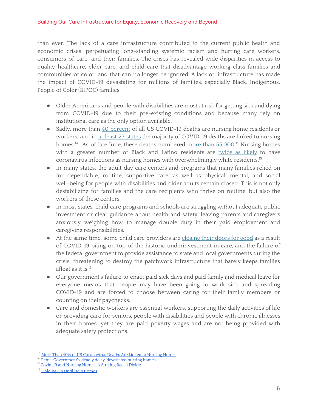than ever. The lack of a care infrastructure contributed to the current public health and economic crises, perpetuating long-standing systemic racism and hurting care workers, consumers of care, and their families. The crises has revealed wide disparities in access to quality healthcare, elder care, and child care that disadvantage working class families and communities of color, and that can no longer be ignored. A lack of infrastructure has made the impact of COVID-19 devastating for millions of families, especially Black, Indigenous, People of Color (BIPOC) families.

- Older Americans and people with disabilities are most at risk for getting sick and dying from COVID-19 due to their pre-existing conditions and because many rely on institutional care as the only option available.
- Sadly, more than 40 [percent](https://www.nytimes.com/interactive/2020/us/coronavirus-nursing-homes.html) of all US COVID-19 deaths are nursing home residents or workers, and in at least 23 [states](https://www.nytimes.com/interactive/2020/us/coronavirus-nursing-homes.html) the majority of COVID-19 deaths are linked to nursing homes.<sup>13</sup> As of late June, these deaths numbered <u>more than 55,000</u>.<sup>14</sup> Nursing homes with a greater number of Black and Latino residents are [twice](https://www.nytimes.com/article/coronavirus-nursing-homes-racial-disparity.html) as likely to have coronavirus infections as nursing homes with overwhelmingly white residents. 15
- In many states, the adult day care centers and programs that many families relied on for dependable, routine, supportive care, as well as physical, mental, and social well-being for people with disabilities and older adults remain closed. This is not only destabilizing for families and the care recipients who thrive on routine, but also the workers of these centers.
- In most states, child care programs and schools are struggling without adequate public investment or clear guidance about health and safety, leaving parents and caregivers anxiously weighing how to manage double duty in their paid employment and caregiving responsibilities.
- At the same time, some child care providers are [closing](https://www.naeyc.org/sites/default/files/globally-shared/downloads/PDFs/our-work/public-policy-advocacy/holding_on_until_help_comes.survey_analysis_july_2020.pdf) their doors for good as a result of COVID-19 piling on top of the historic underinvestment in care, and the failure of the federal government to provide assistance to state and local governments during the crisis, threatening to destroy the patchwork infrastructure that barely keeps families afloat as it is. 16
- Our government's failure to enact paid sick days and paid family and medical leave for everyone means that people may have been going to work sick and spreading COVID-19 and are forced to choose between caring for their family members or counting on their paychecks.
- Care and domestic workers are essential workers, supporting the daily activities of life or providing care for seniors, people with disabilities and people with chronic illnesses in their homes, yet they are paid poverty wages and are not being provided with adequate safety protections.

<sup>&</sup>lt;sup>13</sup> More Than 40% of US [Coronavirus](https://www.nytimes.com/interactive/2020/us/coronavirus-nursing-homes.html) Deaths Are Linked to Nursing Homes

<sup>&</sup>lt;sup>14</sup> Dems: [Government's](https://apnews.com/e3cb4934ab2e8e2a2ef17253556096ae) 'deadly delay' devastated nursing homes

<sup>&</sup>lt;sup>15</sup> [Covid-19](https://www.nytimes.com/article/coronavirus-nursing-homes-racial-disparity.html) and Nursing Homes: A Striking Racial Divide

<sup>&</sup>lt;sup>16</sup> [Holding](https://www.naeyc.org/sites/default/files/globally-shared/downloads/PDFs/our-work/public-policy-advocacy/holding_on_until_help_comes.survey_analysis_july_2020.pdf) On Until Help Comes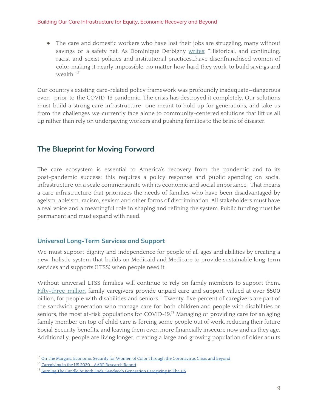• The care and domestic workers who have lost their jobs are struggling, many without savings or a safety net. As Dominique Derbigny [writes:](https://womenswealthgap.org/wp-content/uploads/2020/04/OnTheMargins_April2020_CWWG.pdf) "Historical, and continuing, racist and sexist policies and institutional practices...have disenfranchised women of color making it nearly impossible, no matter how hard they work, to build savings and wealth." 17

Our country's existing care-related policy framework was profoundly inadequate—dangerous even—prior to the COVID-19 pandemic. The crisis has destroyed it completely. Our solutions must build a strong care infrastructure—one meant to hold up for generations, and take us from the challenges we currently face alone to community-centered solutions that lift us all up rather than rely on underpaying workers and pushing families to the brink of disaster.

## <span id="page-8-0"></span>**The Blueprint for Moving Forward**

The care ecosystem is essential to America's recovery from the pandemic and to its post-pandemic success; this requires a policy response and public spending on social infrastructure on a scale commensurate with its economic and social importance. That means a care infrastructure that prioritizes the needs of families who have been disadvantaged by ageism, ableism, racism, sexism and other forms of discrimination. All stakeholders must have a real voice and a meaningful role in shaping and refining the system. Public funding must be permanent and must expand with need.

### <span id="page-8-1"></span>**Universal Long-Term Services and Support**

We must support dignity and independence for people of all ages and abilities by creating a new, holistic system that builds on Medicaid and Medicare to provide sustainable long-term services and supports (LTSS) when people need it.

Without universal LTSS families will continue to rely on family members to support them. [Fifty-three](https://www.caregiving.org/wp-content/uploads/2020/05/Executive-Summary-Caregiving-in-the-United-States-2020.pdf) million family caregivers provide unpaid care and support, valued at over \$500 billion, for people with disabilities and seniors. $^{18}$  Twenty-five percent of caregivers are part of the sandwich generation who manage care for both children and people with disabilities or seniors, the most at-risk populations for COVID-19.<sup>19</sup> Managing or providing care for an aging family member on top of child care is forcing some people out of work, reducing their future Social Security benefits, and leaving them even more financially insecure now and as they age. Additionally, people are living longer, creating a large and growing population of older adults

<sup>&</sup>lt;sup>17</sup> On The Margins: Economic Security for Women of Color Through the [Coronavirus](https://womenswealthgap.org/wp-content/uploads/2020/04/OnTheMargins_April2020_CWWG.pdf) Crisis and Beyond

<sup>&</sup>lt;sup>18</sup> [Caregiving](https://www.caregiving.org/wp-content/uploads/2020/05/Executive-Summary-Caregiving-in-the-United-States-2020.pdf) in the US 2020 - AARP Research Report

<sup>&</sup>lt;sup>19</sup> Burning The Candle At Both Ends: Sandwich [Generation](https://caringacross.org/wp-content/uploads/2019/11/NAC_SandwichCaregiving_Report_digital112019.pdf) Caregiving In The US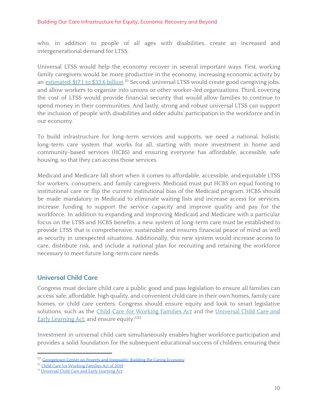who, in addition to people of all ages with disabilities, create an increased and intergenerational demand for LTSS.

Universal LTSS would help the economy recover in several important ways. First, working family caregivers would be more productive in the economy, increasing economic activity by an <u>[estimated](https://www.georgetownpoverty.org/wp-content/uploads/2017/05/Building-the-caring-economy_exec-summary_hi-res.pdf) \$17.1 to \$33.6 billion</u>.<sup>20</sup> Second, universal LTSS would create good caregiving jobs, and allow workers to organize into unions or other worker-led organizations. Third, covering the cost of LTSS would provide financial security that would allow families to continue to spend money in their communities. And lastly, strong and robust universal LTSS can support the inclusion of people with disabilities and older adults' participation in the workforce and in our economy.

To build infrastructure for long-term services and supports, we need a national, holistic long-term care system that works for all, starting with more investment in home and community-based services (HCBS) and ensuring everyone has affordable, accessible, safe housing, so that they can access those services.

Medicaid and Medicare fall short when it comes to affordable, accessible, and equitable LTSS for workers, consumers, and family caregivers. Medicaid must put HCBS on equal footing to institutional care or flip the current institutional bias of the Medicaid program. HCBS should be made mandatory in Medicaid to eliminate waiting lists and increase access for services, increase funding to support the service capacity and improve quality and pay for the workforce. In addition to expanding and improving Medicaid and Medicare with a particular focus on the LTSS and HCBS benefits, a new system of long-term care must be established to provide LTSS that is comprehensive, sustainable and ensures financial peace of mind as well as security in unexpected situations. Additionally, this new system would increase access to care, distribute risk, and include a national plan for recruiting and retaining the workforce necessary to meet future long-term care needs.

#### <span id="page-9-0"></span>**Universal Child Care**

Congress must declare child care a public good and pass legislation to ensure all families can access safe, affordable, high quality, and convenient child care in their own homes, family care homes, or child care centers. Congress should ensure equity and look to smart legislative solutions, such as the Child Care for [Working](https://www.help.senate.gov/imo/media/doc/CCFWFA%20Fact%20Sheet%20116th%20Congress%20FINAL.pdf) Families Act and the [Universal](https://www.warren.senate.gov/imo/media/doc/Universal_Child_Care_Policy_Brief_2019.pdf) Child Care and Early [Learning](https://www.warren.senate.gov/imo/media/doc/Universal_Child_Care_Policy_Brief_2019.pdf) Act, and ensure equity.<sup>2122</sup>

Investment in universal child care simultaneously enables higher workforce participation and provides a solid foundation for the subsequent educational success of children, ensuring their

<sup>&</sup>lt;sup>20</sup> [Georgetown](https://www.georgetownpoverty.org/wp-content/uploads/2017/05/Building-the-caring-economy_exec-summary_hi-res.pdf) Center on Poverty and Inequality: Building the Caring Economy

<sup>&</sup>lt;sup>21</sup> Child Care for [Working](https://www.help.senate.gov/imo/media/doc/CCFWFA%20Fact%20Sheet%20116th%20Congress%20FINAL.pdf) Families Act of 2019

<sup>&</sup>lt;sup>22</sup> [Universal](https://www.warren.senate.gov/imo/media/doc/Universal_Child_Care_Policy_Brief_2019.pdf) Child Care and Early Learning Act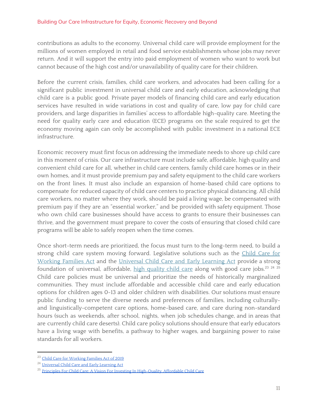contributions as adults to the economy. Universal child care will provide employment for the millions of women employed in retail and food service establishments whose jobs may never return. And it will support the entry into paid employment of women who want to work but cannot because of the high cost and/or unavailability of quality care for their children.

Before the current crisis, families, child care workers, and advocates had been calling for a significant public investment in universal child care and early education, acknowledging that child care is a public good. Private payer models of financing child care and early education services have resulted in wide variations in cost and quality of care, low pay for child care providers, and large disparities in families' access to affordable high-quality care. Meeting the need for quality early care and education (ECE) programs on the scale required to get the economy moving again can only be accomplished with public investment in a national ECE infrastructure.

Economic recovery must first focus on addressing the immediate needs to shore up child care in this moment of crisis. Our care infrastructure must include safe, affordable, high quality and convenient child care for all, whether in child care centers, family child care homes or in their own homes, and it must provide premium pay and safety equipment to the child care workers on the front lines. It must also include an expansion of home-based child care options to compensate for reduced capacity of child care centers to practice physical distancing. All child care workers, no matter where they work, should be paid a living wage, be compensated with premium pay if they are an "essential worker," and be provided with safety equipment. Those who own child care businesses should have access to grants to ensure their businesses can thrive, and the government must prepare to cover the costs of ensuring that closed child care programs will be able to safely reopen when the time comes.

Once short-term needs are prioritized, the focus must turn to the long-term need, to build a strong child care system moving forward. Legislative solutions such as the [Child](https://www.help.senate.gov/imo/media/doc/CCFWFA%20Fact%20Sheet%20116th%20Congress%20FINAL.pdf) Care for [Working](https://www.help.senate.gov/imo/media/doc/CCFWFA%20Fact%20Sheet%20116th%20Congress%20FINAL.pdf) Families Act and the [Universal](https://www.warren.senate.gov/imo/media/doc/Universal_Child_Care_Policy_Brief_2019.pdf) Child Care and Early Learning Act provide a strong foundation of universal, affordable, <u>high [quality](https://nwlc.org/resources/principles-for-child-care-a-vision-for-investing-in-high-quality-affordable-child-care/) child care</u> along with good care jobs.<sup>23 24 25</sup> Child care policies must be universal and prioritize the needs of historically marginalized communities. They must include affordable and accessible child care and early education options for children ages 0-13 and older children with disabilities. Our solutions must ensure public funding to serve the diverse needs and preferences of families, including culturallyand linguistically-competent care options, home-based care, and care during non-standard hours (such as weekends, after school, nights, when job schedules change, and in areas that are currently child care deserts). Child care policy solutions should ensure that early educators have a living wage with benefits, a pathway to higher wages, and bargaining power to raise standards for all workers.

<sup>&</sup>lt;sup>23</sup> Child Care for [Working](https://www.help.senate.gov/imo/media/doc/CCFWFA%20Fact%20Sheet%20116th%20Congress%20FINAL.pdf) Families Act of 2019

<sup>&</sup>lt;sup>24</sup> [Universal](https://www.warren.senate.gov/imo/media/doc/Universal_Child_Care_Policy_Brief_2019.pdf) Child Care and Early Learning Act

<sup>&</sup>lt;sup>25</sup> Principles For Child Care: A Vision For Investing In High-Ouality, Affordable Child Care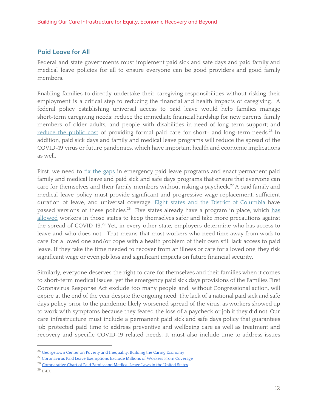#### <span id="page-11-0"></span>**Paid Leave for All**

Federal and state governments must implement paid sick and safe days and paid family and medical leave policies for all to ensure everyone can be good providers and good family members.

Enabling families to directly undertake their caregiving responsibilities without risking their employment is a critical step to reducing the financial and health impacts of caregiving. A federal policy establishing universal access to paid leave would help families manage short-term caregiving needs; reduce the immediate financial hardship for new parents, family members of older adults, and people with disabilities in need of long-term support; and [reduce](https://www.georgetownpoverty.org/wp-content/uploads/2017/05/Building-the-caring-economy_exec-summary_hi-res.pdf) the public cost of providing formal paid care for short- and long-term needs.<sup>26</sup> In addition, paid sick days and family and medical leave programs will reduce the spread of the COVID-19 virus or future pandemics, which have important health and economic implications as well.

First, we need to fix the [gaps](https://www.americanprogress.org/issues/economy/news/2020/04/17/483287/coronavirus-paid-leave-exemptions-exclude-millions-workers-coverage/) in emergency paid leave programs and enact permanent paid family and medical leave and paid sick and safe days programs that ensure that everyone can care for themselves and their family members without risking a paycheck.<sup>27</sup> A paid family and medical leave policy must provide significant and progressive wage replacement, sufficient duration of leave, and universal coverage. Eight states and the District of [Columbia](https://www.abetterbalance.org/resources/paid-family-leave-laws-chart/) have passed versions of these policies.<sup>28</sup> Five states already have a program in place, which [has](https://www.urban.org/research/publication/state-paid-family-and-medical-leave-programs-helped-surge-workers-affected-covid-19-pandemic) [allowed](https://www.urban.org/research/publication/state-paid-family-and-medical-leave-programs-helped-surge-workers-affected-covid-19-pandemic) workers in those states to keep themselves safer and take more precautions against the spread of COVID-19.<sup>29</sup> Yet, in every other state, employers determine who has access to leave and who does not. That means that most workers who need time away from work to care for a loved one and/or cope with a health problem of their own still lack access to paid leave. If they take the time needed to recover from an illness or care for a loved one, they risk significant wage or even job loss and significant impacts on future financial security.

Similarly, everyone deserves the right to care for themselves and their families when it comes to short-term medical issues, yet the emergency paid sick days provisions of the Families First Coronavirus Response Act exclude too many people and, without Congressional action, will expire at the end of the year despite the ongoing need. The lack of a national paid sick and safe days policy prior to the pandemic likely worsened spread of the virus, as workers showed up to work with symptoms because they feared the loss of a paycheck or job if they did not. Our care infrastructure must include a permanent paid sick and safe days policy that guarantees job protected paid time to address preventive and wellbeing care as well as treatment and recovery and specific COVID-19 related needs. It must also include time to address issues

<sup>&</sup>lt;sup>26</sup> [Georgetown](https://www.georgetownpoverty.org/wp-content/uploads/2017/05/Building-the-caring-economy_exec-summary_hi-res.pdf) Center on Poverty and Inequality: Building the Caring Economy

<sup>&</sup>lt;sup>27</sup> [Coronavirus](https://www.americanprogress.org/issues/economy/news/2020/04/17/483287/coronavirus-paid-leave-exemptions-exclude-millions-workers-coverage/) Paid Leave Exemptions Exclude Millions of Workers From Coverage

<sup>&</sup>lt;sup>28</sup> [Comparative](https://www.abetterbalance.org/resources/paid-family-leave-laws-chart/) Chart of Paid Family and Medical Leave Laws in the United States

<sup>29</sup> IBID.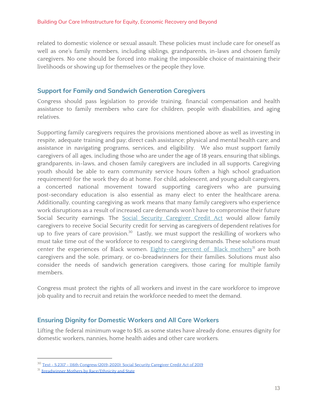related to domestic violence or sexual assault. These policies must include care for oneself as well as one's family members, including siblings, grandparents, in-laws and chosen family caregivers. No one should be forced into making the impossible choice of maintaining their livelihoods or showing up for themselves or the people they love.

#### <span id="page-12-0"></span>**Support for Family and Sandwich Generation Caregivers**

Congress should pass legislation to provide training, financial compensation and health assistance to family members who care for children, people with disabilities, and aging relatives.

Supporting family caregivers requires the provisions mentioned above as well as investing in respite, adequate training and pay; direct cash assistance; physical and mental health care; and assistance in navigating programs, services, and eligibility. We also must support family caregivers of all ages, including those who are under the age of 18 years, ensuring that siblings, grandparents, in-laws, and chosen family caregivers are included in all supports. Caregiving youth should be able to earn community service hours (often a high school graduation requirement) for the work they do at home. For child, adolescent, and young adult caregivers, a concerted national movement toward supporting caregivers who are pursuing post-secondary education is also essential as many elect to enter the healthcare arena. Additionally, counting caregiving as work means that many family caregivers who experience work disruptions as a result of increased care demands won't have to compromise their future Social Security earnings. The Social Security [Caregiver](https://www.congress.gov/bill/116th-congress/senate-bill/2317/text) Credit Act would allow family caregivers to receive Social Security credit for serving as caregivers of dependent relatives for up to five years of care provision. $30$  Lastly, we must support the reskilling of workers who must take time out of the workforce to respond to caregiving demands. These solutions must center the experiences of Black women. [Eighty-one](https://iwpr.org/iwpr-issues/employment-and-earnings/breadwinner-mothers-by-race-ethnicity-and-state/) percent of Black mothers<sup>31</sup> are both caregivers and the sole, primary, or co-breadwinners for their families. Solutions must also consider the needs of sandwich generation caregivers, those caring for multiple family members.

Congress must protect the rights of all workers and invest in the care workforce to improve job quality and to recruit and retain the workforce needed to meet the demand.

#### <span id="page-12-1"></span>**Ensuring Dignity for Domestic Workers and All Care Workers**

Lifting the federal minimum wage to \$15, as some states have already done, ensures dignity for domestic workers, nannies, home health aides and other care workers.

<sup>30</sup> Text - S.2317 - 116th Congress [\(2019-2020\):](https://www.congress.gov/bill/116th-congress/senate-bill/2317/text) Social Security Caregiver Credit Act of 2019

<sup>&</sup>lt;sup>31</sup> Breadwinner Mothers by [Race/Ethnicity](https://iwpr.org/iwpr-issues/employment-and-earnings/breadwinner-mothers-by-race-ethnicity-and-state/) and State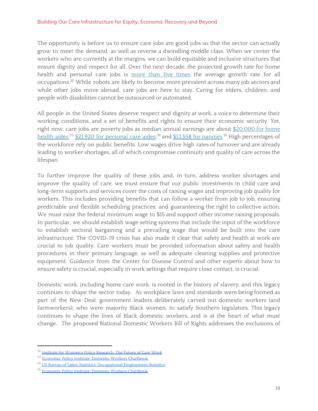#### Building Our Care Infrastructure for Equity, Economic Recovery and Beyond

The opportunity is before us to ensure care jobs are good jobs so that the sector can actually grow to meet the demand, as well as reverse a dwindling middle class. When we center the workers who are currently at the margins, we can build equitable and inclusive structures that ensure dignity and respect for all. Over the next decade, the projected growth rate for home health and personal care jobs is more than five [times](https://iwpr.org/iwpr-issues/employment-and-earnings/the-future-of-care-work-improving-the-quality-of-americas-fastest-growing-jobs/) the average growth rate for all occupations.<sup>32</sup> While robots are likely to become more prevalent across many job sectors and while other jobs move abroad, care jobs are here to stay. Caring for elders, children, and people with disabilities cannot be outsourced or automated.

All people in the United States deserve respect and dignity at work, a voice to determine their working conditions, and a set of benefits and rights to ensure their economic security. Yet, right now, care jobs are poverty jobs as median annual [earnings](https://www.bls.gov/news.release/pdf/ecopro.pdf) are about [\\$20,000](https://www.epi.org/publication/domestic-workers-chartbook-a-comprehensive-look-at-the-demographics-wages-benefits-and-poverty-rates-of-the-professionals-who-care-for-our-family-members-and-clean-our-homes/#table1) for home <u>[health](https://www.epi.org/publication/domestic-workers-chartbook-a-comprehensive-look-at-the-demographics-wages-benefits-and-poverty-rates-of-the-professionals-who-care-for-our-family-members-and-clean-our-homes/#table1) aides,<sup>33</sup> \$21,920 for [personal](https://www.bls.gov/oes/current/oes311120.htm) care aides</u>,<sup>34</sup> and <u>\$13,558 for [nannies](https://www.epi.org/publication/domestic-workers-chartbook-a-comprehensive-look-at-the-demographics-wages-benefits-and-poverty-rates-of-the-professionals-who-care-for-our-family-members-and-clean-our-homes/#table1).</u><sup>35</sup> High percentages of the workforce rely on public benefits. Low wages drive high rates of turnover and are already leading to worker shortages, all of which compromise continuity and quality of care across the lifespan.

To further improve the quality of these jobs and, in turn, address worker shortages and improve the quality of care, we must ensure that our public investments in child care and long-term supports and services cover the costs of raising wages and improving job quality for workers. This includes providing benefits that can follow a worker from job to job, ensuring predictable and flexible scheduling practices, and guaranteeing the right to collective action. We must raise the federal minimum wage to \$15 and support other income raising proposals. In particular, we should establish wage setting systems that include the input of the workforce to establish sectoral bargaining and a prevailing wage that would be built into the care infrastructure. The COVID-19 crisis has also made it clear that safety and health at work are crucial to job quality. Care workers must be provided information about safety and health procedures in their primary language, as well as adequate cleaning supplies and protective equipment. Guidance from the Center for Disease Control and other experts about how to ensure safety is crucial, especially in work settings that require close contact, is crucial.

Domestic work, including home care work, is rooted in the history of slavery, and this legacy continues to shape the sector today. As workplace laws and standards were being formed as part of the New Deal, government leaders deliberately carved out domestic workers (and farmworkers), who were majority Black women, to satisfy Southern legislators. This legacy continues to shape the lives of Black domestic workers, and is at the heart of what must change. The proposed National Domestic Workers Bill of Rights addresses the exclusions of

<sup>&</sup>lt;sup>32</sup> Institute for Women's Policy [Research:](https://iwpr.org/wp-content/uploads/2020/07/C486_Future-of-Care-Work_final.pdf) The Future of Care Work

<sup>&</sup>lt;sup>33</sup> Economic Policy Institute: Domestic Workers [Chartbook](http://bit.ly/EPIDomesticWorkersDemographics)

<sup>34</sup> US Bureau of Labor Statistics: [Occupational](https://www.bls.gov/oes/current/oes311120.htm) Employment Statistics

<sup>&</sup>lt;sup>35</sup> Economic Policy Institute: Domestic Workers [Chartbook](https://www.epi.org/publication/domestic-workers-chartbook-a-comprehensive-look-at-the-demographics-wages-benefits-and-poverty-rates-of-the-professionals-who-care-for-our-family-members-and-clean-our-homes/#table1)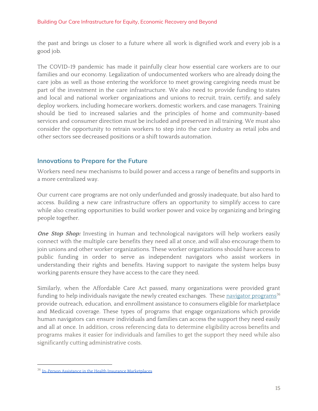the past and brings us closer to a future where all work is dignified work and every job is a good job.

The COVID-19 pandemic has made it painfully clear how essential care workers are to our families and our economy. Legalization of undocumented workers who are already doing the care jobs as well as those entering the workforce to meet growing caregiving needs must be part of the investment in the care infrastructure. We also need to provide funding to states and local and national worker organizations and unions to recruit, train, certify, and safely deploy workers, including homecare workers, domestic workers, and case managers. Training should be tied to increased salaries and the principles of home and community-based services and consumer direction must be included and preserved in all training. We must also consider the opportunity to retrain workers to step into the care industry as retail jobs and other sectors see decreased positions or a shift towards automation.

#### <span id="page-14-0"></span>**Innovations to Prepare for the Future**

Workers need new mechanisms to build power and access a range of benefits and supports in a more centralized way.

Our current care programs are not only underfunded and grossly inadequate, but also hard to access. Building a new care infrastructure offers an opportunity to simplify access to care while also creating opportunities to build worker power and voice by organizing and bringing people together.

**One Stop Shop:** Investing in human and technological navigators will help workers easily connect with the multiple care benefits they need all at once, and will also encourage them to join unions and other worker organizations. These worker organizations should have access to public funding in order to serve as independent navigators who assist workers in understanding their rights and benefits. Having support to navigate the system helps busy working parents ensure they have access to the care they need.

Similarly, when the Affordable Care Act passed, many organizations were provided grant funding to help individuals navigate the newly created exchanges. These <u>navigator [programs](https://www.cms.gov/CCIIO/Programs-and-Initiatives/Health-Insurance-Marketplaces/assistance)</u><sup>36</sup> provide outreach, education, and enrollment assistance to consumers eligible for marketplace and Medicaid coverage. These types of programs that engage organizations which provide human navigators can ensure individuals and families can access the support they need easily and all at once. In addition, cross referencing data to determine eligibility across benefits and programs makes it easier for individuals and families to get the support they need while also significantly cutting administrative costs.

<sup>&</sup>lt;sup>36</sup> In-Person Assistance in the Health Insurance [Marketplaces](https://www.cms.gov/CCIIO/Programs-and-Initiatives/Health-Insurance-Marketplaces/assistance)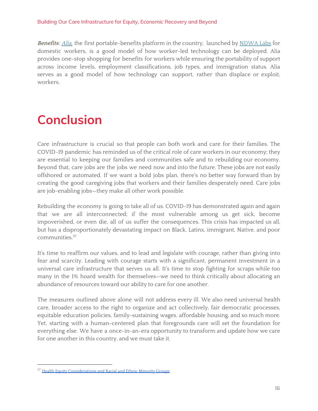#### Building Our Care Infrastructure for Equity, Economic Recovery and Beyond

**Benefits:** [Alia,](https://www.myalia.org/) the first portable-benefits platform in the country, launched by [NDWA](https://www.ndwalabs.org/) Labs for domestic workers, is a good model of how worker-led technology can be deployed. Alia provides one-stop shopping for benefits for workers while ensuring the portability of support across income levels, employment classifications, job types, and immigration status. Alia serves as a good model of how technology can support, rather than displace or exploit, workers.

# <span id="page-15-0"></span>**Conclusion**

Care infrastructure is crucial so that people can both work and care for their families. The COVID-19 pandemic has reminded us of the critical role of care workers in our economy; they are essential to keeping our families and communities safe and to rebuilding our economy. Beyond that, care jobs are the jobs we need now and into the future. These jobs are not easily offshored or automated. If we want a bold jobs plan, there's no better way forward than by creating the good caregiving jobs that workers and their families desperately need. Care jobs are job-enabling jobs—they make all other work possible.

Rebuilding the economy is going to take all of us. COVID-19 has demonstrated again and again that we are all interconnected; if the most vulnerable among us get sick, become impoverished, or even die, all of us suffer the consequences. This crisis has impacted us all, but has a disproportionately devastating impact on Black, Latinx, immigrant, Native, and poor communities. 37

It's time to reaffirm our values, and to lead and legislate with courage, rather than giving into fear and scarcity. Leading with courage starts with a significant, permanent investment in a universal care infrastructure that serves us all. It's time to stop fighting for scraps while too many in the 1% hoard wealth for themselves—we need to think critically about allocating an abundance of resources toward our ability to care for one another.

The measures outlined above alone will not address every ill. We also need universal health care, broader access to the right to organize and act collectively, fair democratic processes, equitable education policies, family-sustaining wages, affordable housing, and so much more. Yet, starting with a human-centered plan that foregrounds care will set the foundation for everything else. We have a once-in-an-era opportunity to transform and update how we care for one another in this country, and we must take it.

<sup>&</sup>lt;sup>37</sup> Health Equity [Considerations](https://www.cdc.gov/coronavirus/2019-ncov/community/health-equity/race-ethnicity.html) and Racial and Ethnic Minority Groups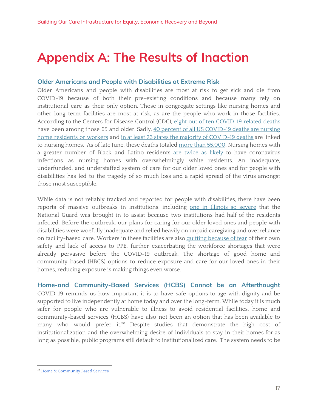# <span id="page-16-0"></span>**Appendix A: The Results of Inaction**

#### **Older Americans and People with Disabilities at Extreme Risk**

Older Americans and people with disabilities are most at risk to get sick and die from COVID-19 because of both their pre-existing conditions and because many rely on institutional care as their only option. Those in congregate settings like nursing homes and other long-term facilities are most at risk, as are the people who work in those facilities. According to the Centers for Disease Control (CDC), eight out of ten [COVID-19](https://www.cdc.gov/aging/covid19-guidance.html) related deaths have been among those 65 and older. Sadly, 40 percent of all US [COVID-19](https://www.nytimes.com/interactive/2020/us/coronavirus-nursing-homes.html) deaths are nursing home [residents](https://www.nytimes.com/interactive/2020/us/coronavirus-nursing-homes.html) or workers and in at least 23 states the majority of [COVID-19](https://www.nytimes.com/interactive/2020/us/coronavirus-nursing-homes.html) deaths are linked to nursing homes. As of late June, these deaths totaled more than [55,000](https://apnews.com/e3cb4934ab2e8e2a2ef17253556096ae). Nursing homes with a greater number of Black and Latino residents are [twice](https://www.nytimes.com/article/coronavirus-nursing-homes-racial-disparity.html) as likely to have coronavirus infections as nursing homes with overwhelmingly white residents. An inadequate, underfunded, and understaffed system of care for our older loved ones and for people with disabilities has led to the tragedy of so much loss and a rapid spread of the virus amongst those most susceptible.

While data is not reliably tracked and reported for people with disabilities, there have been reports of massive outbreaks in institutions, including one in [Illinois](https://abc7chicago.com/coronavirus-illinois-park-forest-elisabeth-ludeman-developmental-center/6112196/) so severe that the National Guard was brought in to assist because two institutions had half of the residents infected. Before the outbreak, our plans for caring for our older loved ones and people with disabilities were woefully inadequate and relied heavily on unpaid caregiving and overreliance on facility-based care. Workers in these facilities are also quitting [because](https://www.koat.com/article/caregivers-leaving-jobs-as-covid-19-hits-large-living-facilities/32308770) of fear of their own safety and lack of access to PPE, further exacerbating the workforce shortages that were already pervasive before the COVID-19 outbreak. The shortage of good home and community-based (HBCS) options to reduce exposure and care for our loved ones in their homes, reducing exposure is making things even worse.

**Home-and Community-Based Services (HCBS) Cannot be an Afterthought** COVID-19 reminds us how important it is to have safe options to age with dignity and be supported to live independently at home today and over the long-term. While today it is much safer for people who are vulnerable to illness to avoid residential facilities, home and community-based services (HCBS) have also not been an option that has been available to many who would prefer it.<sup>38</sup> Despite studies that demonstrate the high cost of institutionalization and the overwhelming desire of individuals to stay in their homes for as long as possible, public programs still default to institutionalized care. The system needs to be

<sup>&</sup>lt;sup>38</sup> Home & [Community](https://www.medicaid.gov/medicaid/home-community-based-services/index.html) Based Services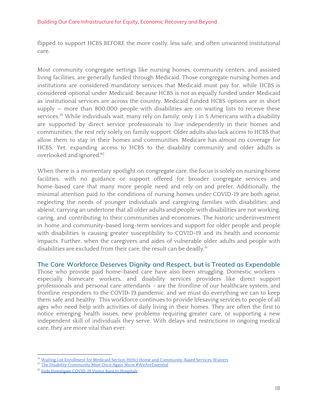flipped to support HCBS BEFORE the more costly, less safe, and often unwanted institutional care.

Most community congregate settings like nursing homes, community centers, and assisted living facilities, are generally funded through Medicaid. Those congregate nursing homes and institutions are considered mandatory services that Medicaid must pay for, while HCBS is considered optional under Medicaid. Because HCBS is not as equally funded under Medicaid as institutional services are across the country, Medicaid funded HCBS options are in short supply — more than 800,000 people with disabilities are on waiting lists to receive these services.<sup>39</sup> While individuals wait, many rely on family: only 1 in 5 Americans with a disability are supported by direct service professionals to live independently in their homes and communities; the rest rely solely on family support. Older adults also lack access to HCBS that allow them to stay in their homes and communities. Medicare has almost no coverage for HCBS. Yet, expanding access to HCBS to the disability community and older adults is overlooked and ignored. 40

When there is a momentary spotlight on congregate care, the focus is solely on nursing home facilities, with no guidance or support offered for broader congregate services and home-based care that many more people need and rely on and prefer. Additionally, the minimal attention paid to the conditions of nursing homes under COVID-19 are both ageist, neglecting the needs of younger individuals and caregiving families with disabilities; and ableist, carrying an undertone that all older adults and people with disabilities are not working, caring, and contributing to their communities and economies. The historic underinvestment in home and community-based long-term services and support for older people and people with disabilities is causing greater susceptibility to COVID-19 and its health and economic impacts. Further, when the caregivers and aides of vulnerable older adults and people with disabilities are excluded from their care, the result can be deadly.<sup>41</sup>

**The Care Workforce Deserves Dignity and Respect, but is Treated as Expendable** Those who provide paid home-based care have also been struggling. Domestic workers especially homecare workers, and disability services providers like direct support professionals and personal care attendants - are the frontline of our healthcare system, and frontline responders to the COVID-19 pandemic, and we must do everything we can to keep them safe and healthy. This workforce continues to provide lifesaving services to people of all ages who need help with activities of daily living in their homes. They are often the first to notice emerging health issues, new problems requiring greater care, or supporting a new independent skill of individuals they serve. With delays and restrictions in ongoing medical care, they are more vital than ever.

Waiting List Enrollment for Medicaid Section 1915(c) Home and [Community-Based](https://www.kff.org/health-reform/state-indicator/waiting-lists-for-hcbs-waivers/?currentTimeframe=0&sortModel=%7B%22colId%22:%22Location%22,%22sort%22:%22asc%22%7D) Services Waivers

<sup>&</sup>lt;sup>40</sup> The Disability Community Must Once Again Show [#WeAreEssential](https://thearc.org/the-disability-community-must-once-again-show-weareessential/)

<sup>&</sup>lt;sup>41</sup> Feds [Investigate](https://www.npr.org/2020/05/17/857531789/federal-government-asked-to-tell-hospitals-modify-visit-bans) COVID-19 Visitor Bans In Hospitals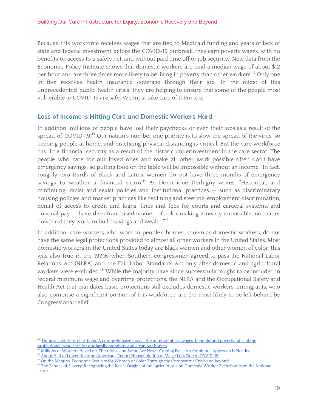Because this workforce receives wages that are tied to Medicaid funding and years of lack of state and federal investment before the COVID-19 outbreak, they earn poverty wages, with no benefits or access to a safety net, and without paid time off or job security. New data from the Economic Policy Institute shows that domestic workers are paid a median wage of about \$12 per hour and are three times more likely to be living in poverty than other workers. $^{42}$  Only one in five receives health insurance coverage through their job. In the midst of this unprecedented public health crisis, they are helping to ensure that some of the people most vulnerable to COVID-19 are safe. We must take care of them too.

#### **Loss of Income is Hitting Care and Domestic Workers Hard**

In addition, millions of people have lost their paychecks or even their jobs as a result of the spread of COVID-19.<sup>43</sup> Our nation's number one priority is to slow the spread of the virus, so keeping people at home, and practicing physical distancing is critical. But the care workforce has little financial security as a result of the historic underinvestment in the care sector. The people who care for our loved ones and make all other work possible often don't have emergency savings, so putting food on the table will be impossible without an income. In fact, roughly two-thirds of Black and Latinx women do not have three months of emergency savings to weather a financial storm.<sup>44</sup> As Dominique Derbigny writes: "Historical, and continuing, racist and sexist policies and institutional practices — such as discriminatory housing policies and market practices like redlining and steering, employment discrimination, denial of access to credit and loans, fines and fees for courts and carceral systems, and unequal pay — have disenfranchised women of color making it nearly impossible, no matter how hard they work, to build savings and wealth." 45

In addition, care workers who work in people's homes, known as domestic workers, do not have the same legal protections provided to almost all other workers in the United States. Most domestic workers in the United States today are Black women and other women of color; this was also true in the 1930s when Southern congressmen agreed to pass the National Labor Relations Act (NLRA) and the Fair Labor Standards Act only after domestic and agricultural workers were excluded.<sup>46</sup> While the majority have since successfully fought to be included in federal minimum wage and overtime protections, the NLRA and the Occupational Safety and Health Act that mandates basic protections still excludes domestic workers. Immigrants, who also comprise a significant portion of this workforce, are the most likely to be left behind by Congressional relief.

 $^{42}$  Domestic workers chartbook: A [comprehensive](https://www.epi.org/publication/domestic-workers-chartbook-a-comprehensive-look-at-the-demographics-wages-benefits-and-poverty-rates-of-the-professionals-who-care-for-our-family-members-and-clean-our-homes/) look at the demographics, wages, benefits, and poverty rates of the [professionals](https://www.epi.org/publication/domestic-workers-chartbook-a-comprehensive-look-at-the-demographics-wages-benefits-and-poverty-rates-of-the-professionals-who-care-for-our-family-members-and-clean-our-homes/) who care for our family members and clean our homes

Millions of Workers Have Lost Their Jobs, and Some Are Never Coming Back. An [Ambitious](https://www.aspeninstitute.org/blog-posts/supporting-workers-facing-permanent-job-losses/) Approach Is Needed.

<sup>44</sup> About Half of [Lower-Income](https://www.pewsocialtrends.org/2020/04/21/about-half-of-lower-income-americans-report-household-job-or-wage-loss-due-to-covid-19/) Americans Report Household Job or Wage Loss Due to COVID-19

<sup>&</sup>lt;sup>45</sup> On the Margins: Economic Security for Women of Color Through the [Coronavirus](https://womenswealthgap.org/wp-content/uploads/2020/04/OnTheMargins_April2020_CWWG.pdf) Crisis and Beyond

<sup>&</sup>lt;sup>46</sup> The Echoes of Slavery: [Recognizing](https://lawecommons.luc.edu/cgi/viewcontent.cgi?article=1150&context=facpubs) the Racist Origins of the Agricultural and Domestic Worker Exclusion from the National [Labor](https://lawecommons.luc.edu/cgi/viewcontent.cgi?article=1150&context=facpubs)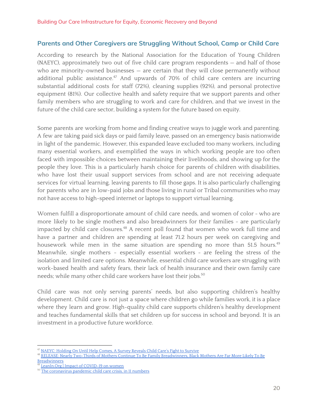#### **Parents and Other Caregivers are Struggling Without School, Camp or Child Care**

According to research by the National Association for the Education of Young Children (NAEYC), approximately two out of five child care program respondents — and half of those who are minority-owned businesses – are certain that they will close permanently without additional public assistance.<sup>47</sup> And upwards of 70% of child care centers are incurring substantial additional costs for staff (72%), cleaning supplies (92%), and personal protective equipment (81%). Our collective health and safety require that we support parents and other family members who are struggling to work and care for children, and that we invest in the future of the child care sector, building a system for the future based on equity.

Some parents are working from home and finding creative ways to juggle work and parenting. A few are taking paid sick days or paid family leave, passed on an emergency basis nationwide in light of the pandemic. However, this expanded leave excluded too many workers, including many essential workers, and exemplified the ways in which working people are too often faced with impossible choices between maintaining their livelihoods, and showing up for the people they love. This is a particularly harsh choice for parents of children with disabilities, who have lost their usual support services from school and are not receiving adequate services for virtual learning, leaving parents to fill those gaps. It is also particularly challenging for parents who are in low-paid jobs and those living in rural or Tribal communities who may not have access to high-speed internet or laptops to support virtual learning.

Women fulfill a disproportionate amount of child care needs, and women of color - who are more likely to be single mothers and also breadwinners for their families - are particularly impacted by child care closures.<sup>48</sup> A recent poll found that women who work full time and have a partner and children are spending at least 71.2 hours per week on caregiving and housework while men in the same situation are spending no more than 51.5 hours. 49 Meanwhile, single mothers - especially essential workers - are feeling the stress of the isolation and limited care options. Meanwhile, essential child care workers are struggling with work-based health and safety fears, their lack of health insurance and their own family care needs; while many other child care workers have lost their jobs. 50

Child care was not only serving parents' needs, but also supporting children's healthy development. Child care is not just a space where children go while families work, it is a place where they learn and grow. High-quality child care supports children's healthy development and teaches fundamental skills that set children up for success in school and beyond. It is an investment in a productive future workforce.

<sup>&</sup>lt;sup>47</sup> NAEYC: [Holding](https://www.naeyc.org/sites/default/files/globally-shared/downloads/PDFs/our-work/public-policy-advocacy/holding_on_until_help_comes.survey_analysis_july_2020.pdf) On Until Help Comes, A Survey Reveals Child Care's Fight to Survive

<sup>&</sup>lt;sup>48</sup> RELEASE: Nearly Two-Thirds of Mothers Continue To Be Family [Breadwinners,](https://www.americanprogress.org/press/release/2019/05/10/469660/release-nearly-two-thirds-mothers-continue-family-breadwinners-black-mothers-far-likely-breadwinners/) Black Mothers Are Far More Likely To Be **[Breadwinners](https://www.americanprogress.org/press/release/2019/05/10/469660/release-nearly-two-thirds-mothers-continue-family-breadwinners-black-mothers-far-likely-breadwinners/)** 

[LeanIn.Org](https://docs.google.com/document/d/19UkIM_LtTUj02El9Hw7U03-ybv0sCGUNTYGdnrHz7FU/edit) | Impact of COVID-19 on women

<sup>&</sup>lt;sup>50</sup> The [coronavirus](https://www.vox.com/2020/7/16/21324192/covid-schools-reopening-daycare-child-care-coronavirus) pandemic child care crisis, in 11 numbers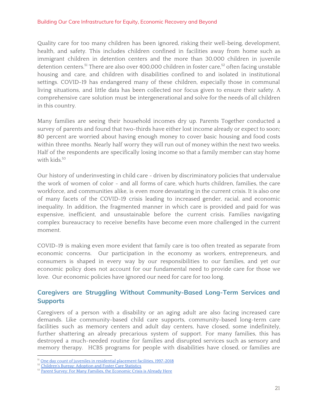Quality care for too many children has been ignored, risking their well-being, development, health, and safety. This includes children confined in facilities away from home such as immigrant children in detention centers and the more than 30,000 children in juvenile detention centers. $^{51}$  There are also over 400,000 children in foster care, $^{52}$  often facing unstable housing and care, and children with disabilities confined to and isolated in institutional settings. COVID-19 has endangered many of these children, especially those in communal living situations, and little data has been collected nor focus given to ensure their safety. A comprehensive care solution must be intergenerational and solve for the needs of all children in this country.

Many families are seeing their household incomes dry up. Parents Together conducted a survey of parents and found that two-thirds have either lost income already or expect to soon; 80 percent are worried about having enough money to cover basic housing and food costs within three months. Nearly half worry they will run out of money within the next two weeks. Half of the respondents are specifically losing income so that a family member can stay home with kids. 53

Our history of underinvesting in child care - driven by discriminatory policies that undervalue the work of women of color - and all forms of care, which hurts children, families, the care workforce, and communities alike, is even more devastating in the current crisis. It is also one of many facets of the COVID-19 crisis leading to increased gender, racial, and economic inequality. In addition, the fragmented manner in which care is provided and paid for was expensive, inefficient, and unsustainable before the current crisis. Families navigating complex bureaucracy to receive benefits have become even more challenged in the current moment.

COVID-19 is making even more evident that family care is too often treated as separate from economic concerns. Our participation in the economy as workers, entrepreneurs, and consumers is shaped in every way by our responsibilities to our families, and yet our economic policy does not account for our fundamental need to provide care for those we love. Our economic policies have ignored our need for care for too long.

### **Caregivers are Struggling Without Community-Based Long-Term Services and Supports**

Caregivers of a person with a disability or an aging adult are also facing increased care demands. Like community-based child care supports, community-based long-term care facilities such as memory centers and adult day centers, have closed, some indefinitely, further shattering an already precarious system of support. For many families, this has destroyed a much-needed routine for families and disrupted services such as sensory and memory therapy. HCBS programs for people with disabilities have closed, or families are

<sup>51</sup> One day count of juveniles in residential [placement](https://www.ojjdp.gov/ojstatbb/corrections/qa08201.asp?qaDate=2018) facilities, 1997-2018

<sup>&</sup>lt;sup>52</sup> [Children's](https://www.acf.hhs.gov/cb/research-data-technology/statistics-research/afcars) Bureay: Adoption and Foster Care Statistics

<sup>53</sup> Parent Survey: For Many Families, the [Economic](https://parents-together.org/parent-survey-for-many-families-the-economic-crisis-is-already-here/) Crisis is Already Here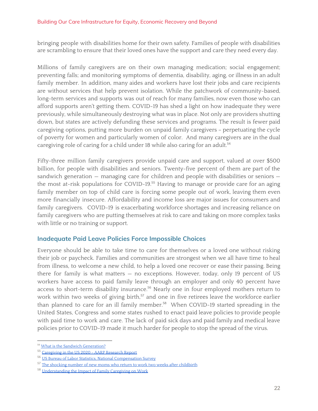bringing people with disabilities home for their own safety. Families of people with disabilities are scrambling to ensure that their loved ones have the support and care they need every day.

Millions of family caregivers are on their own managing medication; social engagement; preventing falls; and monitoring symptoms of dementia, disability, aging, or illness in an adult family member. In addition, many aides and workers have lost their jobs and care recipients are without services that help prevent isolation. While the patchwork of community-based, long-term services and supports was out of reach for many families, now even those who can afford supports aren't getting them. COVID-19 has shed a light on how inadequate they were previously, while simultaneously destroying what was in place. Not only are providers shutting down, but states are actively defunding these services and programs. The result is fewer paid caregiving options, putting more burden on unpaid family caregivers – perpetuating the cycle of poverty for women and particularly women of color. And many caregivers are in the dual caregiving role of caring for a child under 18 while also caring for an adult. 54

Fifty-three million family caregivers provide unpaid care and support, valued at over \$500 billion, for people with disabilities and seniors. Twenty-five percent of them are part of the sandwich generation — managing care for children and people with disabilities or seniors the most at-risk populations for COVID-19.<sup>55</sup> Having to manage or provide care for an aging family member on top of child care is forcing some people out of work, leaving them even more financially insecure. Affordability and income loss are major issues for consumers and family caregivers. COVID-19 is exacerbating workforce shortages and increasing reliance on family caregivers who are putting themselves at risk to care and taking on more complex tasks with little or no training or support.

#### **Inadequate Paid Leave Policies Force Impossible Choices**

Everyone should be able to take time to care for themselves or a loved one without risking their job or paycheck. Families and communities are strongest when we all have time to heal from illness, to welcome a new child, to help a loved one recover or ease their passing. Being there for family is what matters — no exceptions. However, today, only 19 percent of US workers have access to paid family leave through an employer and only 40 percent have access to short-term disability insurance. $56$  Nearly one in four employed mothers return to work within two weeks of giving birth,<sup>57</sup> and one in five retirees leave the workforce earlier than planned to care for an ill family member.<sup>58</sup> When COVID-19 started spreading in the United States, Congress and some states rushed to enact paid leave policies to provide people with paid time to work and care. The lack of paid sick days and paid family and medical leave policies prior to COVID-19 made it much harder for people to stop the spread of the virus.

<sup>&</sup>lt;sup>54</sup> What is the Sandwich [Generation?](https://www.aplaceformom.com/caregiver-resources/articles/what-is-the-sandwich-generation)

<sup>55</sup> [Caregiving](https://www.caregiving.org/wp-content/uploads/2020/05/Executive-Summary-Caregiving-in-the-United-States-2020.pdf) in the US 2020 - AARP Research Report

<sup>56</sup> US Bureau of Labor Statistics, National [Compensation](https://www.bls.gov/ncs/ebs/benefits/2019/ownership/civilian/table31a.pdf) Survey

<sup>&</sup>lt;sup>57</sup> The shocking number of new moms who return to work two weeks after [childbirth](https://www.washingtonpost.com/news/wonk/wp/2015/08/19/the-shocking-number-of-new-moms-who-return-to-work-two-weeks-after-childbirth/)

<sup>58</sup> [Understanding](https://www.aarp.org/content/dam/aarp/research/public_policy_institute/ltc/2012/understanding-impact-family-caregiving-work-AARP-ppi-ltc.pdf) the Impact of Family Caregiving on Work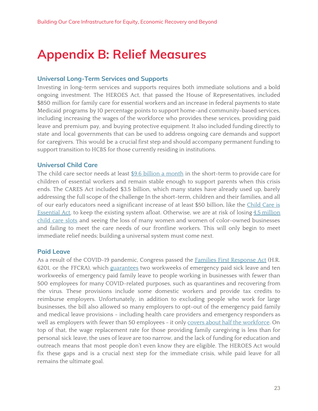# <span id="page-22-0"></span>**Appendix B: Relief Measures**

#### **Universal Long-Term Services and Supports**

Investing in long-term services and supports requires both immediate solutions and a bold ongoing investment. The HEROES Act, that passed the House of Representatives, included \$850 million for family care for essential workers and an increase in federal payments to state Medicaid programs by 10 percentage points to support home-and community-based services, including increasing the wages of the workforce who provides these services, providing paid leave and premium pay, and buying protective equipment. It also included funding directly to state and local governments that can be used to address ongoing care demands and support for caregivers. This would be a crucial first step and should accompany permanent funding to support transition to HCBS for those currently residing in institutions.

#### **Universal Child Care**

The child care sector needs at least \$9.6 billion a [month](https://nwlc.org/resources/child-care-is-key-to-our-economic-recovery-what-it-will-take-to-stabilize-the-system-during-this-crisis/) in the short-term to provide care for children of essential workers and remain stable enough to support parents when this crisis ends. The CARES Act included \$3.5 billion, which many states have already used up, barely addressing the full scope of the challenge In the short-term, children and their families, and all of our early educators need a significant increase of at least \$50 billion, like the [Child](https://delauro.house.gov/sites/delauro.house.gov/files/Child_Care_Is_Essential_Act_One_Pager.pdf) Care is [Essential](https://delauro.house.gov/sites/delauro.house.gov/files/Child_Care_Is_Essential_Act_One_Pager.pdf) Act, to keep the existing system afloat. Otherwise, we are at risk of losing 4.5 [million](https://www.americanprogress.org/issues/early-childhood/news/2020/04/24/483817/coronavirus-pandemic-lead-permanent-loss-nearly-4-5-million-child-care-slots/) [child](https://www.americanprogress.org/issues/early-childhood/news/2020/04/24/483817/coronavirus-pandemic-lead-permanent-loss-nearly-4-5-million-child-care-slots/) care slots and seeing the loss of many women and women of color-owned businesses and failing to meet the care needs of our frontline workers. This will only begin to meet immediate relief needs; building a universal system must come next.

#### **Paid Leave**

As a result of the COVID-19 pandemic, Congress passed the **Families First [Response](https://www.congress.gov/bill/116th-congress/house-bill/6201) Act** (H.R. 6201, or the FFCRA), which [guarantees](https://familyvaluesatwork.org/statelaws) two workweeks of emergency paid sick leave and ten workweeks of emergency paid family leave to people working in businesses with fewer than 500 employees for many COVID-related purposes, such as quarantines and recovering from the virus. These provisions include some domestic workers and provide tax credits to reimburse employers. Unfortunately, in addition to excluding people who work for large businesses, the bill also allowed so many employers to opt-out of the emergency paid family and medical leave provisions - including health care providers and emergency responders as well as employers with fewer than 50 employees - it only covers about half the [workforce](https://www.americanprogress.org/issues/economy/news/2020/04/17/483287/coronavirus-paid-leave-exemptions-exclude-millions-workers-coverage/). On top of that, the wage replacement rate for those providing family caregiving is less than for personal sick leave, the uses of leave are too narrow, and the lack of funding for education and outreach means that most people don't even know they are eligible. The HEROES Act would fix these gaps and is a crucial next step for the immediate crisis, while paid leave for all remains the ultimate goal.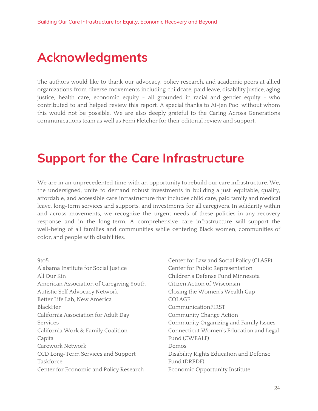# <span id="page-23-0"></span>**Acknowledgments**

The authors would like to thank our advocacy, policy research, and academic peers at allied organizations from diverse movements including childcare, paid leave, disability justice, aging justice, health care, economic equity - all grounded in racial and gender equity - who contributed to and helped review this report. A special thanks to Ai-jen Poo, without whom this would not be possible. We are also deeply grateful to the Caring Across Generations communications team as well as Femi Fletcher for their editorial review and support.

# <span id="page-23-1"></span>**Support for the Care Infrastructure**

We are in an unprecedented time with an opportunity to rebuild our care infrastructure. We, the undersigned, unite to demand robust investments in building a just, equitable, quality, affordable, and accessible care infrastructure that includes child care, paid family and medical leave, long-term services and supports, and investments for all caregivers. In solidarity within and across movements, we recognize the urgent needs of these policies in any recovery response and in the long-term. A comprehensive care infrastructure will support the well-being of all families and communities while centering Black women, communities of color, and people with disabilities.

9to5 Alabama Institute for Social Justice All Our Kin American Association of Caregiving Youth Autistic Self Advocacy Network Better Life Lab, New America BlackHer California Association for Adult Day Services California Work & Family Coalition Capita Carework Network CCD Long-Term Services and Support Taskforce Center for Economic and Policy Research

Center for Law and Social Policy (CLASP) Center for Public Representation Children's Defense Fund Minnesota Citizen Action of Wisconsin Closing the Women's Wealth Gap COLAGE CommunicationFIRST Community Change Action Community Organizing and Family Issues Connecticut Women's Education and Legal Fund (CWEALF) Demos Disability Rights Education and Defense Fund (DREDF) Economic Opportunity Institute